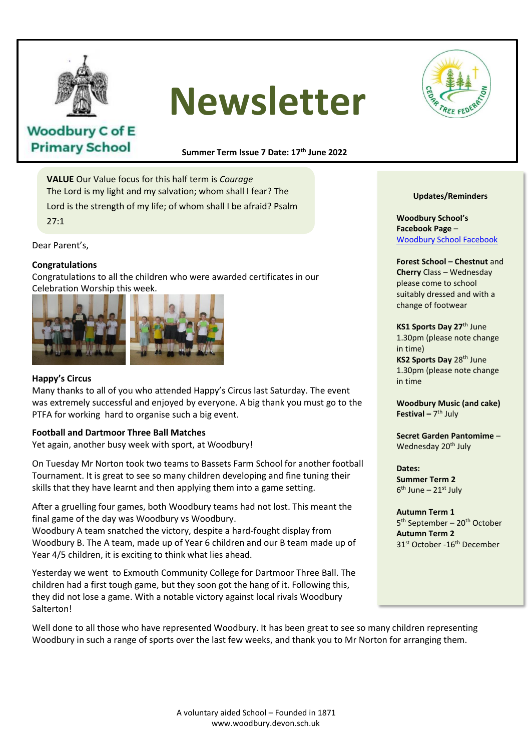

# **Newsletter**



## **Woodbury C of E Primary School**

**Summer Term Issue 7 Date: 17 th June 2022**

**VALUE** Our Value focus for this half term is *Courage* The Lord is my light and my salvation; whom shall I fear? The Lord is the strength of my life; of whom shall I be afraid? Psalm 27:1

Dear Parent's,

#### **Congratulations**

Congratulations to all the children who were awarded certificates in our Celebration Worship this week.



#### **Happy's Circus**

Many thanks to all of you who attended Happy's Circus last Saturday. The event was extremely successful and enjoyed by everyone. A big thank you must go to the PTFA for working hard to organise such a big event.

#### **Football and Dartmoor Three Ball Matches**

Yet again, another busy week with sport, at Woodbury!

On Tuesday Mr Norton took two teams to Bassets Farm School for another football Tournament. It is great to see so many children developing and fine tuning their skills that they have learnt and then applying them into a game setting.

After a gruelling four games, both Woodbury teams had not lost. This meant the final game of the day was Woodbury vs Woodbury.

Woodbury A team snatched the victory, despite a hard-fought display from Woodbury B. The A team, made up of Year 6 children and our B team made up of Year 4/5 children, it is exciting to think what lies ahead.

Yesterday we went to Exmouth Community College for Dartmoor Three Ball. The children had a first tough game, but they soon got the hang of it. Following this, they did not lose a game. With a notable victory against local rivals Woodbury Salterton!

#### **Updates/Reminders**

**Woodbury School's Facebook Page** – [Woodbury School Facebook](https://www.facebook.com/people/Woodbury-C-of-E-Primary-School/100063490359733/)

**Forest School – Chestnut** and **Cherry** Class – Wednesday please come to school suitably dressed and with a change of footwear

**KS1 Sports Day 27**th June 1.30pm (please note change in time) **KS2 Sports Day 28th June** 1.30pm (please note change in time

**Woodbury Music (and cake) Festival** – 7<sup>th</sup> July

**Secret Garden Pantomime** – Wednesday 20<sup>th</sup> July

**Dates: Summer Term 2** 6<sup>th</sup> June – 21st July

**Autumn Term 1** 5<sup>th</sup> September – 20<sup>th</sup> October **Autumn Term 2** 31<sup>st</sup> October -16<sup>th</sup> December

Well done to all those who have represented Woodbury. It has been great to see so many children representing Woodbury in such a range of sports over the last few weeks, and thank you to Mr Norton for arranging them.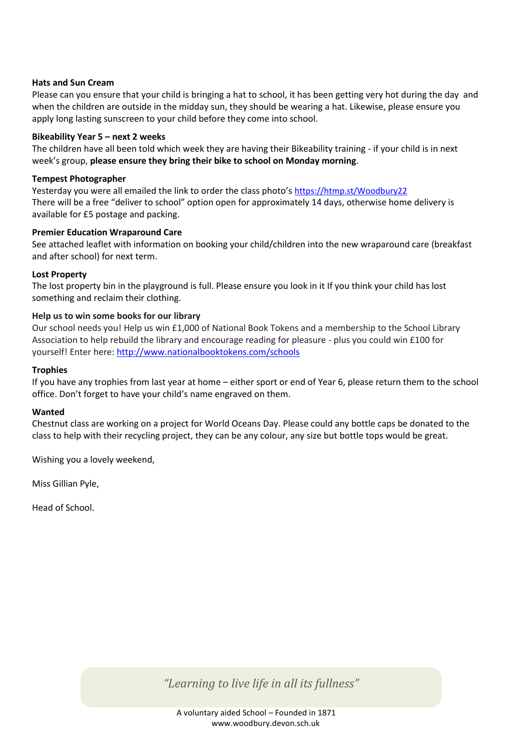#### **Hats and Sun Cream**

Please can you ensure that your child is bringing a hat to school, it has been getting very hot during the day and when the children are outside in the midday sun, they should be wearing a hat. Likewise, please ensure you apply long lasting sunscreen to your child before they come into school.

#### **Bikeability Year 5 – next 2 weeks**

The children have all been told which week they are having their Bikeability training - if your child is in next week's group, **please ensure they bring their bike to school on Monday morning**.

#### **Tempest Photographer**

Yesterday you were all emailed the link to order the class photo's <https://htmp.st/Woodbury22> There will be a free "deliver to school" option open for approximately 14 days, otherwise home delivery is available for £5 postage and packing.

#### **Premier Education Wraparound Care**

See attached leaflet with information on booking your child/children into the new wraparound care (breakfast and after school) for next term.

#### **Lost Property**

The lost property bin in the playground is full. Please ensure you look in it If you think your child has lost something and reclaim their clothing.

#### **Help us to win some books for our library**

Our school needs you! Help us win £1,000 of National Book Tokens and a membership to the School Library Association to help rebuild the library and encourage reading for pleasure - plus you could win £100 for yourself! Enter here: <http://www.nationalbooktokens.com/schools>

#### **Trophies**

If you have any trophies from last year at home – either sport or end of Year 6, please return them to the school office. Don't forget to have your child's name engraved on them.

#### **Wanted**

Chestnut class are working on a project for World Oceans Day. Please could any bottle caps be donated to the class to help with their recycling project, they can be any colour, any size but bottle tops would be great.

Wishing you a lovely weekend,

Miss Gillian Pyle,

Head of School.

*"Learning to live life in all its fullness"*